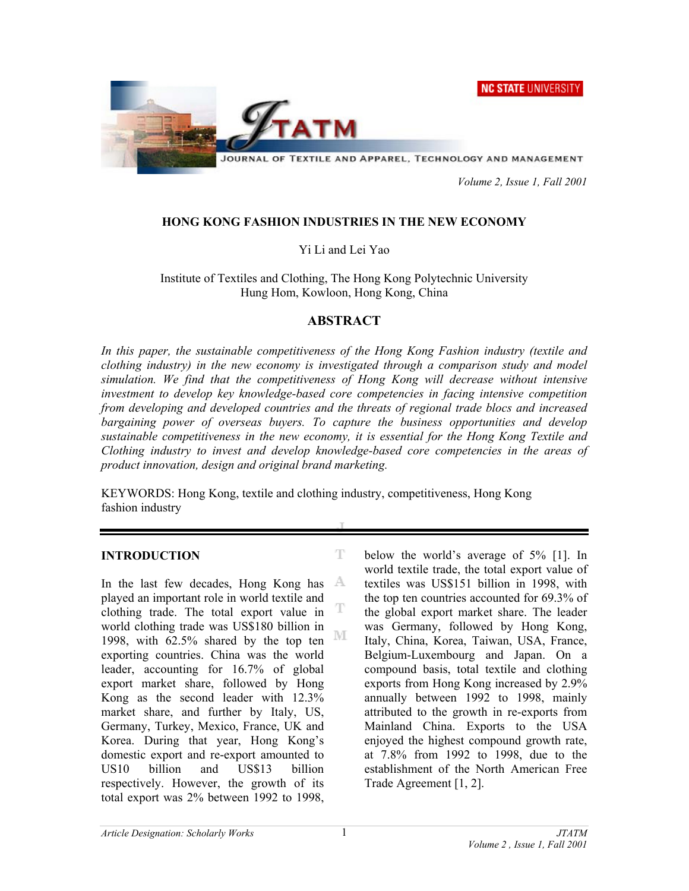**NC STATE UNIVERSITY** 



JOURNAL OF TEXTILE AND APPAREL, TECHNOLOGY AND MANAGEMENT

 *Volume 2, Issue 1, Fall 2001* 

# **HONG KONG FASHION INDUSTRIES IN THE NEW ECONOMY**

Yi Li and Lei Yao

Institute of Textiles and Clothing, The Hong Kong Polytechnic University Hung Hom, Kowloon, Hong Kong, China

# **ABSTRACT**

*In this paper, the sustainable competitiveness of the Hong Kong Fashion industry (textile and clothing industry) in the new economy is investigated through a comparison study and model simulation. We find that the competitiveness of Hong Kong will decrease without intensive investment to develop key knowledge-based core competencies in facing intensive competition from developing and developed countries and the threats of regional trade blocs and increased bargaining power of overseas buyers. To capture the business opportunities and develop sustainable competitiveness in the new economy, it is essential for the Hong Kong Textile and Clothing industry to invest and develop knowledge-based core competencies in the areas of product innovation, design and original brand marketing.* 

KEYWORDS: Hong Kong, textile and clothing industry, competitiveness, Hong Kong fashion industry

T

T

#### **INTRODUCTION**

In the last few decades, Hong Kong has A played an important role in world textile and clothing trade. The total export value in world clothing trade was US\$180 billion in М 1998, with 62.5% shared by the top ten exporting countries. China was the world leader, accounting for 16.7% of global export market share, followed by Hong Kong as the second leader with 12.3% market share, and further by Italy, US, Germany, Turkey, Mexico, France, UK and Korea. During that year, Hong Kong's domestic export and re-export amounted to US10 billion and US\$13 billion respectively. However, the growth of its total export was 2% between 1992 to 1998,

below the world's average of 5% [1]. In world textile trade, the total export value of textiles was US\$151 billion in 1998, with the top ten countries accounted for 69.3% of the global export market share. The leader was Germany, followed by Hong Kong, Italy, China, Korea, Taiwan, USA, France, Belgium-Luxembourg and Japan. On a compound basis, total textile and clothing exports from Hong Kong increased by 2.9% annually between 1992 to 1998, mainly attributed to the growth in re-exports from Mainland China. Exports to the USA enjoyed the highest compound growth rate, at 7.8% from 1992 to 1998, due to the establishment of the North American Free Trade Agreement [1, 2].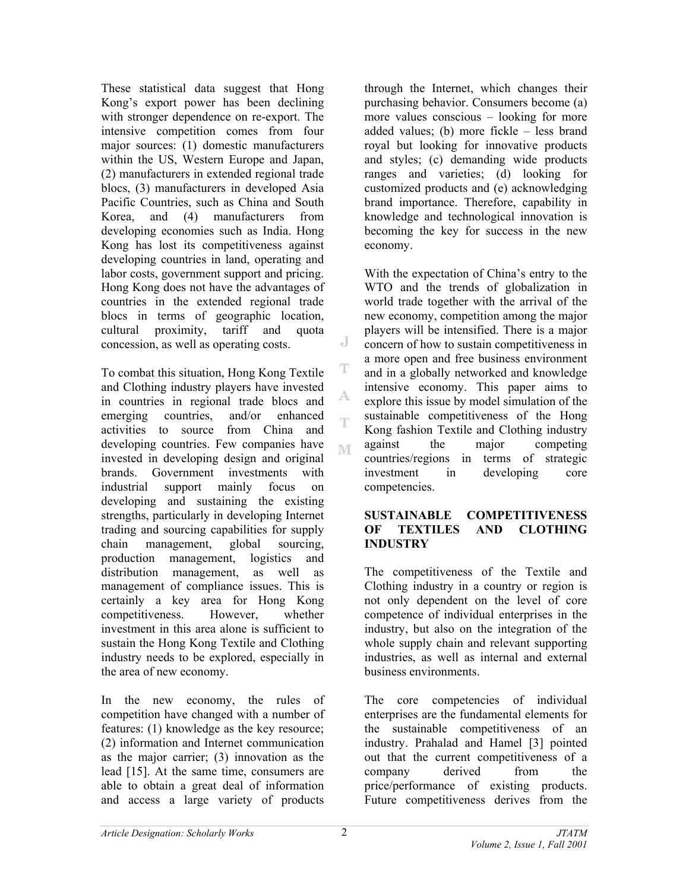These statistical data suggest that Hong Kong's export power has been declining with stronger dependence on re-export. The intensive competition comes from four major sources: (1) domestic manufacturers within the US, Western Europe and Japan, (2) manufacturers in extended regional trade blocs, (3) manufacturers in developed Asia Pacific Countries, such as China and South Korea, and (4) manufacturers from developing economies such as India. Hong Kong has lost its competitiveness against developing countries in land, operating and labor costs, government support and pricing. Hong Kong does not have the advantages of countries in the extended regional trade blocs in terms of geographic location, cultural proximity, tariff and quota concession, as well as operating costs.

To combat this situation, Hong Kong Textile and Clothing industry players have invested in countries in regional trade blocs and emerging countries, and/or enhanced activities to source from China and developing countries. Few companies have invested in developing design and original brands. Government investments with industrial support mainly focus on developing and sustaining the existing strengths, particularly in developing Internet trading and sourcing capabilities for supply chain management, global sourcing, production management, logistics and distribution management, as well as management of compliance issues. This is certainly a key area for Hong Kong competitiveness. However, whether investment in this area alone is sufficient to sustain the Hong Kong Textile and Clothing industry needs to be explored, especially in the area of new economy.

In the new economy, the rules of competition have changed with a number of features: (1) knowledge as the key resource; (2) information and Internet communication as the major carrier; (3) innovation as the lead [15]. At the same time, consumers are able to obtain a great deal of information and access a large variety of products

through the Internet, which changes their purchasing behavior. Consumers become (a) more values conscious – looking for more added values; (b) more fickle – less brand royal but looking for innovative products and styles; (c) demanding wide products ranges and varieties; (d) looking for customized products and (e) acknowledging brand importance. Therefore, capability in knowledge and technological innovation is becoming the key for success in the new economy.

With the expectation of China's entry to the WTO and the trends of globalization in world trade together with the arrival of the new economy, competition among the major players will be intensified. There is a major concern of how to sustain competitiveness in a more open and free business environment and in a globally networked and knowledge intensive economy. This paper aims to explore this issue by model simulation of the sustainable competitiveness of the Hong Kong fashion Textile and Clothing industry against the major competing countries/regions in terms of strategic investment in developing core competencies.

### **SUSTAINABLE COMPETITIVENESS OF TEXTILES AND CLOTHING INDUSTRY**

The competitiveness of the Textile and Clothing industry in a country or region is not only dependent on the level of core competence of individual enterprises in the industry, but also on the integration of the whole supply chain and relevant supporting industries, as well as internal and external business environments.

The core competencies of individual enterprises are the fundamental elements for the sustainable competitiveness of an industry. Prahalad and Hamel [3] pointed out that the current competitiveness of a company derived from the price/performance of existing products. Future competitiveness derives from the

J

T

A.

T

M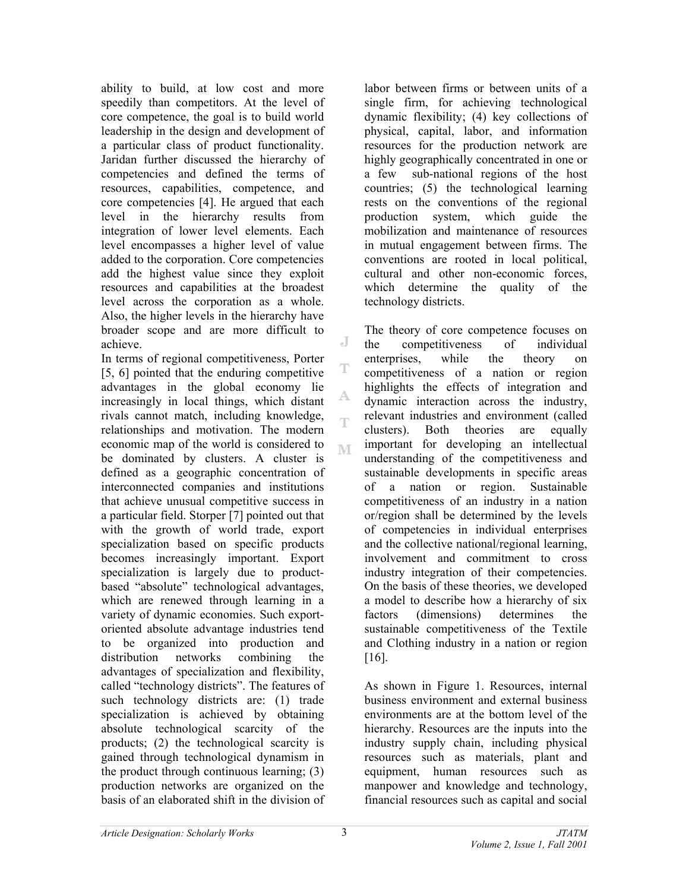ability to build, at low cost and more speedily than competitors. At the level of core competence, the goal is to build world leadership in the design and development of a particular class of product functionality. Jaridan further discussed the hierarchy of competencies and defined the terms of resources, capabilities, competence, and core competencies [4]. He argued that each level in the hierarchy results from integration of lower level elements. Each level encompasses a higher level of value added to the corporation. Core competencies add the highest value since they exploit resources and capabilities at the broadest level across the corporation as a whole. Also, the higher levels in the hierarchy have broader scope and are more difficult to achieve.

In terms of regional competitiveness, Porter [5, 6] pointed that the enduring competitive advantages in the global economy lie increasingly in local things, which distant rivals cannot match, including knowledge, relationships and motivation. The modern economic map of the world is considered to be dominated by clusters. A cluster is defined as a geographic concentration of interconnected companies and institutions that achieve unusual competitive success in a particular field. Storper [7] pointed out that with the growth of world trade, export specialization based on specific products becomes increasingly important. Export specialization is largely due to productbased "absolute" technological advantages, which are renewed through learning in a variety of dynamic economies. Such exportoriented absolute advantage industries tend to be organized into production and distribution networks combining the advantages of specialization and flexibility, called "technology districts". The features of such technology districts are: (1) trade specialization is achieved by obtaining absolute technological scarcity of the products; (2) the technological scarcity is gained through technological dynamism in the product through continuous learning; (3) production networks are organized on the basis of an elaborated shift in the division of

labor between firms or between units of a single firm, for achieving technological dynamic flexibility; (4) key collections of physical, capital, labor, and information resources for the production network are highly geographically concentrated in one or a few sub-national regions of the host countries; (5) the technological learning rests on the conventions of the regional production system, which guide the mobilization and maintenance of resources in mutual engagement between firms. The conventions are rooted in local political, cultural and other non-economic forces, which determine the quality of the technology districts.

The theory of core competence focuses on the competitiveness of individual enterprises, while the theory on competitiveness of a nation or region highlights the effects of integration and dynamic interaction across the industry, relevant industries and environment (called clusters). Both theories are equally important for developing an intellectual understanding of the competitiveness and sustainable developments in specific areas of a nation or region. Sustainable competitiveness of an industry in a nation or/region shall be determined by the levels of competencies in individual enterprises and the collective national/regional learning, involvement and commitment to cross industry integration of their competencies. On the basis of these theories, we developed a model to describe how a hierarchy of six factors (dimensions) determines the sustainable competitiveness of the Textile and Clothing industry in a nation or region [16].

As shown in Figure 1. Resources, internal business environment and external business environments are at the bottom level of the hierarchy. Resources are the inputs into the industry supply chain, including physical resources such as materials, plant and equipment, human resources such as manpower and knowledge and technology, financial resources such as capital and social

J

T

A.

T

M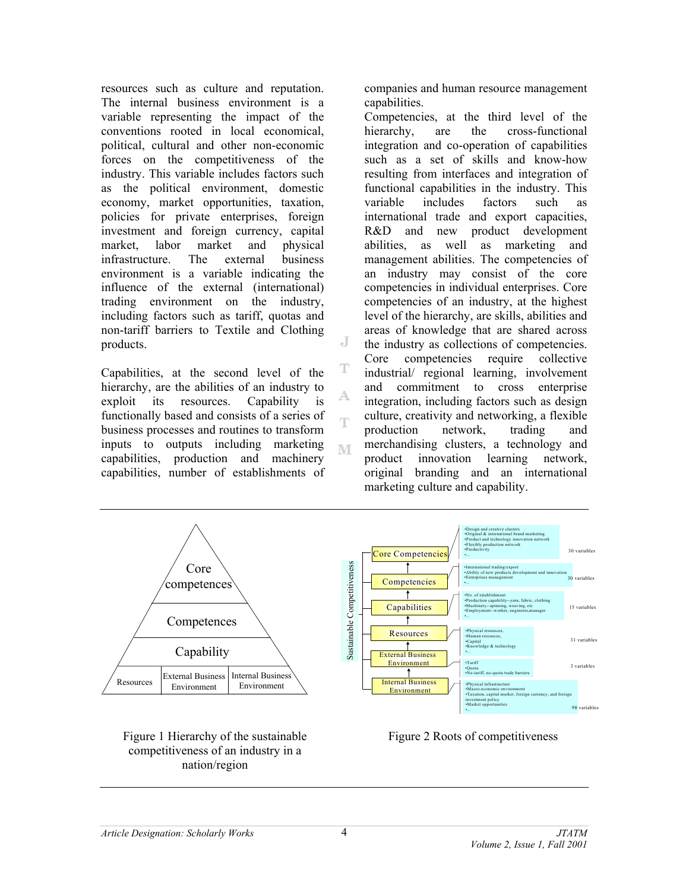resources such as culture and reputation. The internal business environment is a variable representing the impact of the conventions rooted in local economical, political, cultural and other non-economic forces on the competitiveness of the industry. This variable includes factors such as the political environment, domestic economy, market opportunities, taxation, policies for private enterprises, foreign investment and foreign currency, capital market, labor market and physical infrastructure. The external business environment is a variable indicating the influence of the external (international) trading environment on the industry, including factors such as tariff, quotas and non-tariff barriers to Textile and Clothing products.

Capabilities, at the second level of the hierarchy, are the abilities of an industry to exploit its resources. Capability is functionally based and consists of a series of business processes and routines to transform inputs to outputs including marketing capabilities, production and machinery capabilities, number of establishments of companies and human resource management capabilities.

Competencies, at the third level of the hierarchy, are the cross-functional integration and co-operation of capabilities such as a set of skills and know-how resulting from interfaces and integration of functional capabilities in the industry. This variable includes factors such as international trade and export capacities, R&D and new product development abilities, as well as marketing and management abilities. The competencies of an industry may consist of the core competencies in individual enterprises. Core competencies of an industry, at the highest level of the hierarchy, are skills, abilities and areas of knowledge that are shared across the industry as collections of competencies. Core competencies require collective industrial/ regional learning, involvement and commitment to cross enterprise integration, including factors such as design culture, creativity and networking, a flexible production network, trading and merchandising clusters, a technology and product innovation learning network, original branding and an international marketing culture and capability.



J

T

A.

T

M

Figure 1 Hierarchy of the sustainable competitiveness of an industry in a nation/region

Figure 2 Roots of competitiveness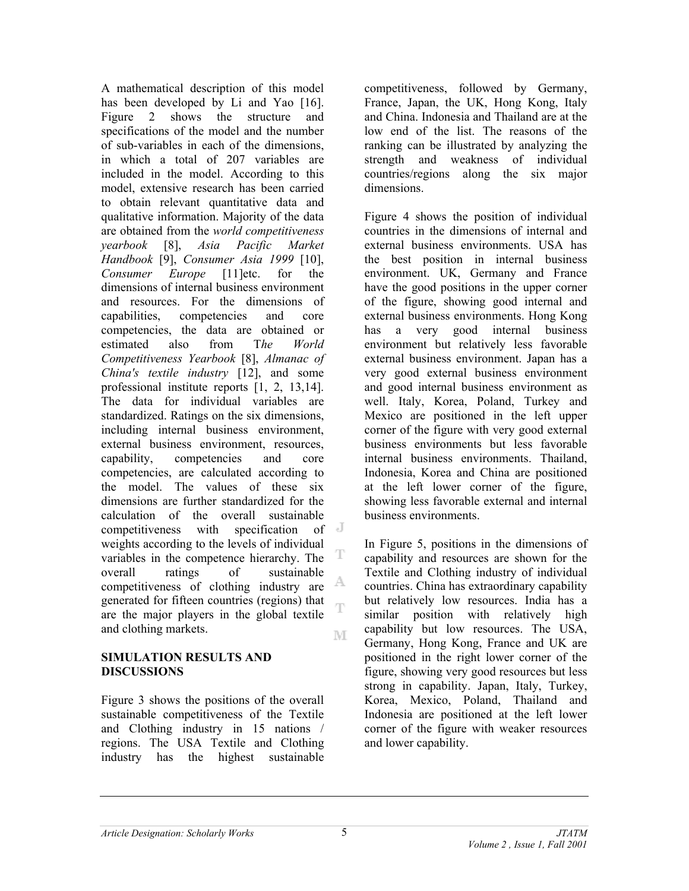A mathematical description of this model has been developed by Li and Yao [16]. Figure 2 shows the structure and specifications of the model and the number of sub-variables in each of the dimensions, in which a total of 207 variables are included in the model. According to this model, extensive research has been carried to obtain relevant quantitative data and qualitative information. Majority of the data are obtained from the *world competitiveness yearbook* [8], *Asia Pacific Market Handbook* [9], *Consumer Asia 1999* [10], *Consumer Europe* [11]etc. for the dimensions of internal business environment and resources. For the dimensions of capabilities, competencies and core competencies, the data are obtained or estimated also from T*he World Competitiveness Yearbook* [8], *Almanac of China's textile industry* [12], and some professional institute reports [1, 2, 13,14]. The data for individual variables are standardized. Ratings on the six dimensions, including internal business environment, external business environment, resources, capability, competencies and core competencies, are calculated according to the model. The values of these six dimensions are further standardized for the calculation of the overall sustainable<br>competitiveness with specification of  $\mathbb{J}$ competitiveness with specification weights according to the levels of individual т variables in the competence hierarchy. The overall ratings of sustainable A. competitiveness of clothing industry are generated for fifteen countries (regions) that Ŧ are the major players in the global textile and clothing markets. M

### **SIMULATION RESULTS AND DISCUSSIONS**

Figure 3 shows the positions of the overall sustainable competitiveness of the Textile and Clothing industry in 15 nations / regions. The USA Textile and Clothing industry has the highest sustainable

competitiveness, followed by Germany, France, Japan, the UK, Hong Kong, Italy and China. Indonesia and Thailand are at the low end of the list. The reasons of the ranking can be illustrated by analyzing the strength and weakness of individual countries/regions along the six major dimensions.

Figure 4 shows the position of individual countries in the dimensions of internal and external business environments. USA has the best position in internal business environment. UK, Germany and France have the good positions in the upper corner of the figure, showing good internal and external business environments. Hong Kong has a very good internal business environment but relatively less favorable external business environment. Japan has a very good external business environment and good internal business environment as well. Italy, Korea, Poland, Turkey and Mexico are positioned in the left upper corner of the figure with very good external business environments but less favorable internal business environments. Thailand, Indonesia, Korea and China are positioned at the left lower corner of the figure, showing less favorable external and internal business environments.

In Figure 5, positions in the dimensions of capability and resources are shown for the Textile and Clothing industry of individual countries. China has extraordinary capability but relatively low resources. India has a similar position with relatively high capability but low resources. The USA, Germany, Hong Kong, France and UK are positioned in the right lower corner of the figure, showing very good resources but less strong in capability. Japan, Italy, Turkey, Korea, Mexico, Poland, Thailand and Indonesia are positioned at the left lower corner of the figure with weaker resources and lower capability.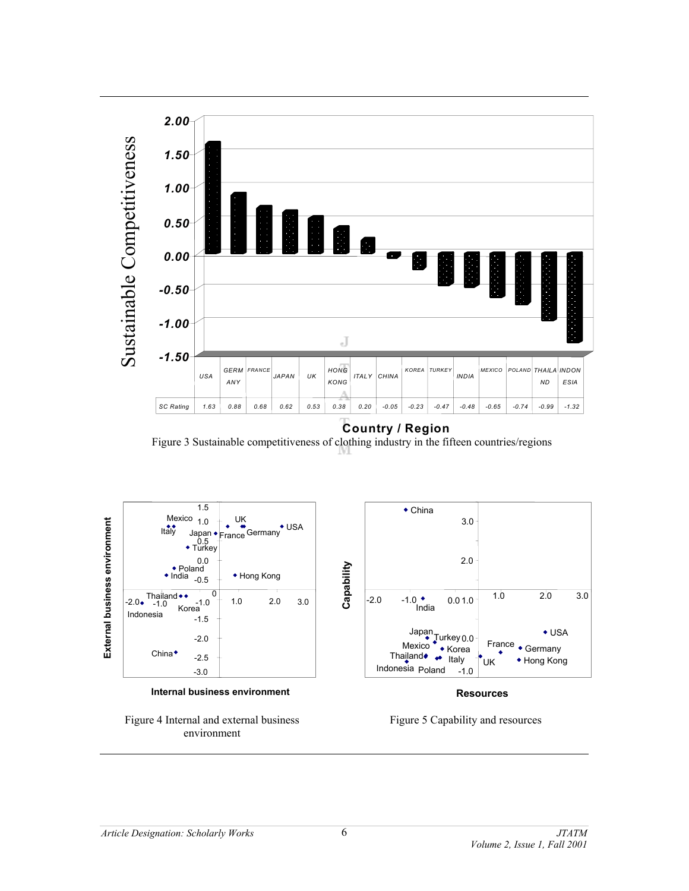

Figure 3 Sustainable competitiveness of clothing industry in the fifteen countries/regions





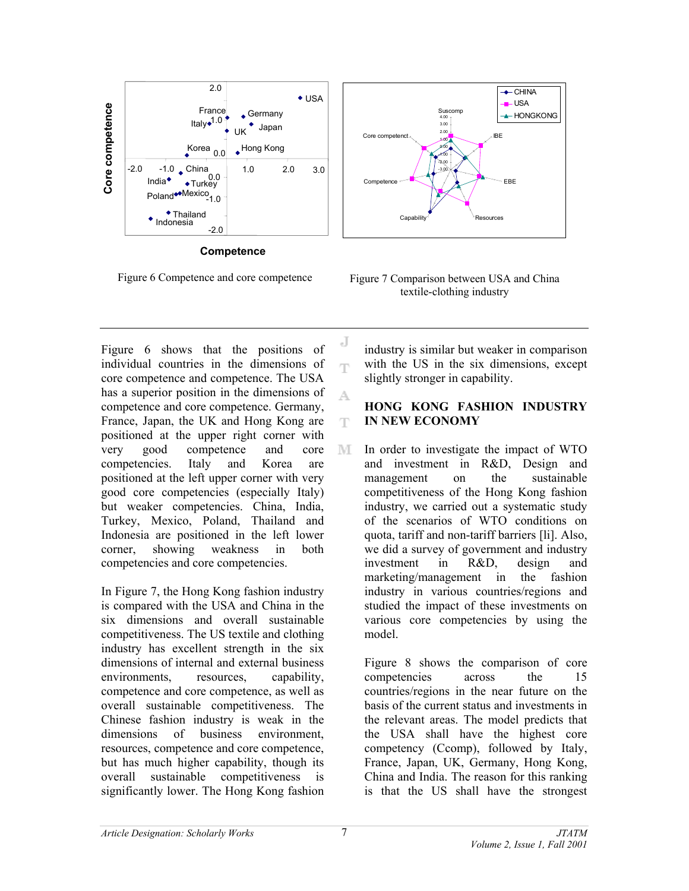

**Competence**

Figure 6 shows that the positions of individual countries in the dimensions of core competence and competence. The USA has a superior position in the dimensions of competence and core competence. Germany, France, Japan, the UK and Hong Kong are positioned at the upper right corner with very good competence and core competencies. Italy and Korea are positioned at the left upper corner with very good core competencies (especially Italy) but weaker competencies. China, India, Turkey, Mexico, Poland, Thailand and Indonesia are positioned in the left lower corner, showing weakness in both competencies and core competencies.

In Figure 7, the Hong Kong fashion industry is compared with the USA and China in the six dimensions and overall sustainable competitiveness. The US textile and clothing industry has excellent strength in the six dimensions of internal and external business environments, resources, capability, competence and core competence, as well as overall sustainable competitiveness. The Chinese fashion industry is weak in the dimensions of business environment, resources, competence and core competence, but has much higher capability, though its overall sustainable competitiveness is significantly lower. The Hong Kong fashion



Figure 6 Competence and core competence Figure 7 Comparison between USA and China textile-clothing industry

industry is similar but weaker in comparison with the US in the six dimensions, except slightly stronger in capability.

# **HONG KONG FASHION INDUSTRY IN NEW ECONOMY**

In order to investigate the impact of WTO M and investment in R&D, Design and management on the sustainable competitiveness of the Hong Kong fashion industry, we carried out a systematic study of the scenarios of WTO conditions on quota, tariff and non-tariff barriers [li]. Also, we did a survey of government and industry investment in R&D, design and marketing/management in the fashion industry in various countries/regions and studied the impact of these investments on various core competencies by using the model.

Figure 8 shows the comparison of core competencies across the 15 countries/regions in the near future on the basis of the current status and investments in the relevant areas. The model predicts that the USA shall have the highest core competency (Ccomp), followed by Italy, France, Japan, UK, Germany, Hong Kong, China and India. The reason for this ranking is that the US shall have the strongest

J

ηy

A.

T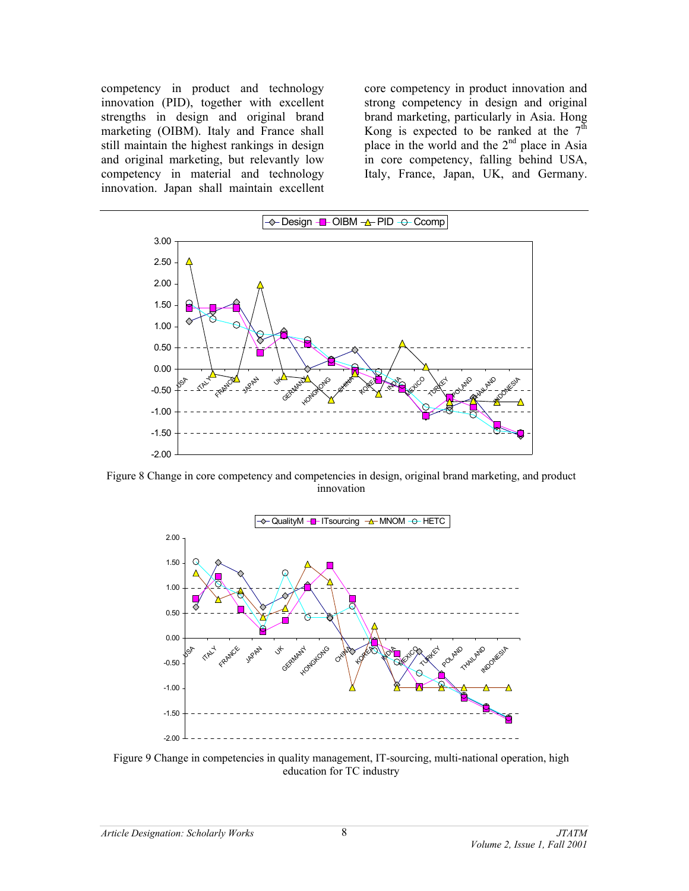competency in product and technology innovation (PID), together with excellent strengths in design and original brand marketing (OIBM). Italy and France shall still maintain the highest rankings in design and original marketing, but relevantly low competency in material and technology innovation. Japan shall maintain excellent

core competency in product innovation and strong competency in design and original brand marketing, particularly in Asia. Hong Kong is expected to be ranked at the  $7<sup>th</sup>$ place in the world and the 2<sup>nd</sup> place in Asia in core competency, falling behind USA, Italy, France, Japan, UK, and Germany.



Figure 8 Change in core competency and competencies in design, original brand marketing, and product innovation



Figure 9 Change in competencies in quality management, IT-sourcing, multi-national operation, high education for TC industry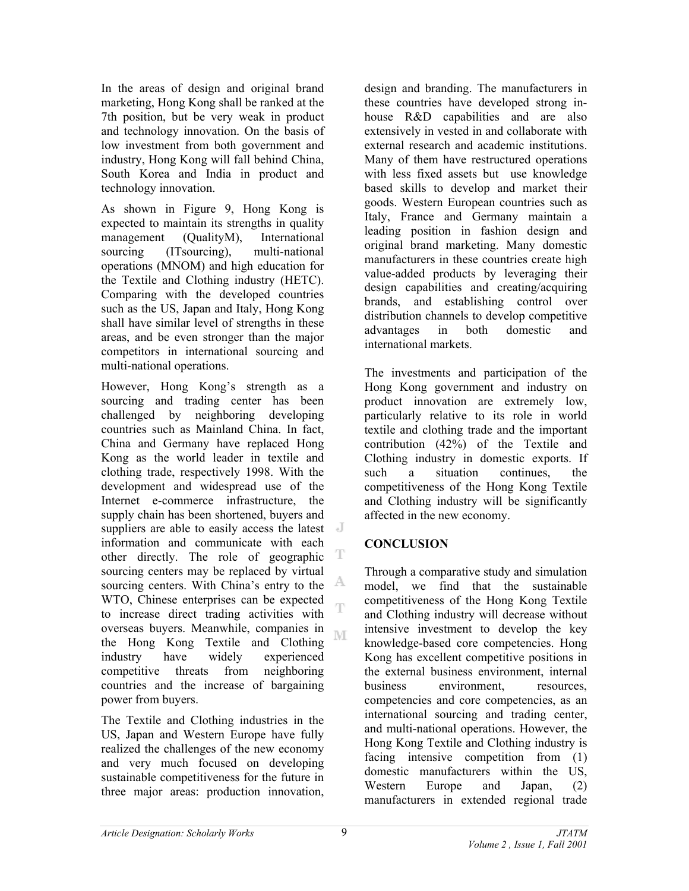In the areas of design and original brand marketing, Hong Kong shall be ranked at the 7th position, but be very weak in product and technology innovation. On the basis of low investment from both government and industry, Hong Kong will fall behind China, South Korea and India in product and technology innovation.

As shown in Figure 9, Hong Kong is expected to maintain its strengths in quality management (QualityM), International sourcing (ITsourcing), multi-national operations (MNOM) and high education for the Textile and Clothing industry (HETC). Comparing with the developed countries such as the US, Japan and Italy, Hong Kong shall have similar level of strengths in these areas, and be even stronger than the major competitors in international sourcing and multi-national operations.

However, Hong Kong's strength as a sourcing and trading center has been challenged by neighboring developing countries such as Mainland China. In fact, China and Germany have replaced Hong Kong as the world leader in textile and clothing trade, respectively 1998. With the development and widespread use of the Internet e-commerce infrastructure, the supply chain has been shortened, buyers and suppliers are able to easily access the latest information and communicate with each т other directly. The role of geographic sourcing centers may be replaced by virtual A sourcing centers. With China's entry to the WTO, Chinese enterprises can be expected Ŧ to increase direct trading activities with overseas buyers. Meanwhile, companies in M the Hong Kong Textile and Clothing industry have widely experienced competitive threats from neighboring countries and the increase of bargaining power from buyers.

The Textile and Clothing industries in the US, Japan and Western Europe have fully realized the challenges of the new economy and very much focused on developing sustainable competitiveness for the future in three major areas: production innovation,

design and branding. The manufacturers in these countries have developed strong inhouse R&D capabilities and are also extensively in vested in and collaborate with external research and academic institutions. Many of them have restructured operations with less fixed assets but use knowledge based skills to develop and market their goods. Western European countries such as Italy, France and Germany maintain a leading position in fashion design and original brand marketing. Many domestic manufacturers in these countries create high value-added products by leveraging their design capabilities and creating/acquiring brands, and establishing control over distribution channels to develop competitive advantages in both domestic and international markets.

The investments and participation of the Hong Kong government and industry on product innovation are extremely low, particularly relative to its role in world textile and clothing trade and the important contribution (42%) of the Textile and Clothing industry in domestic exports. If such a situation continues, the competitiveness of the Hong Kong Textile and Clothing industry will be significantly affected in the new economy.

# **CONCLUSION**

Through a comparative study and simulation model, we find that the sustainable competitiveness of the Hong Kong Textile and Clothing industry will decrease without intensive investment to develop the key knowledge-based core competencies. Hong Kong has excellent competitive positions in the external business environment, internal business environment, resources, competencies and core competencies, as an international sourcing and trading center, and multi-national operations. However, the Hong Kong Textile and Clothing industry is facing intensive competition from (1) domestic manufacturers within the US, Western Europe and Japan, (2) manufacturers in extended regional trade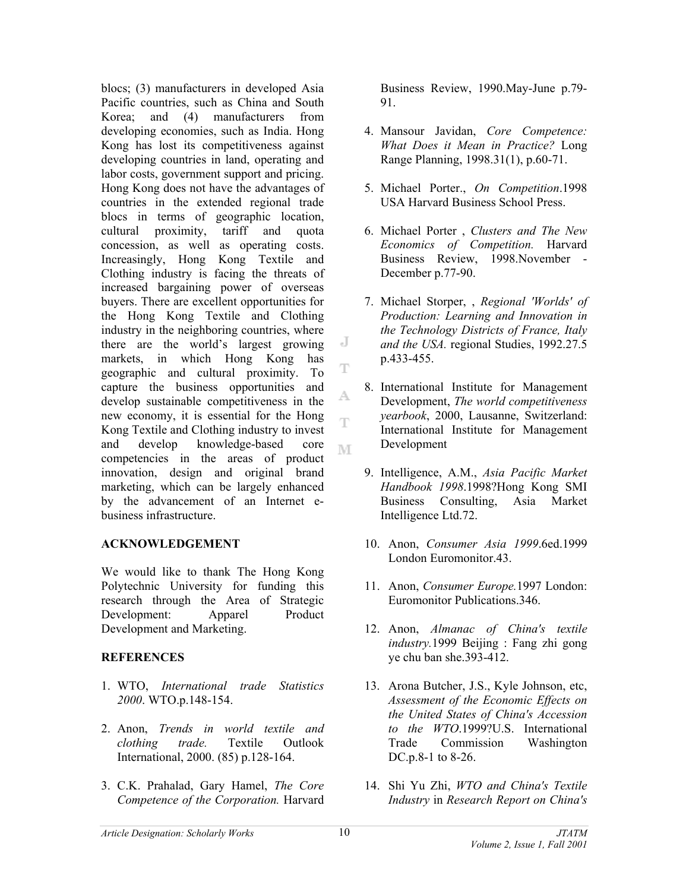blocs; (3) manufacturers in developed Asia Pacific countries, such as China and South Korea; and (4) manufacturers from developing economies, such as India. Hong Kong has lost its competitiveness against developing countries in land, operating and labor costs, government support and pricing. Hong Kong does not have the advantages of countries in the extended regional trade blocs in terms of geographic location,<br>cultural proximity, tariff and quota cultural proximity, tariff and quota concession, as well as operating costs. Increasingly, Hong Kong Textile and Clothing industry is facing the threats of increased bargaining power of overseas buyers. There are excellent opportunities for the Hong Kong Textile and Clothing industry in the neighboring countries, where there are the world's largest growing markets, in which Hong Kong has geographic and cultural proximity. To capture the business opportunities and develop sustainable competitiveness in the new economy, it is essential for the Hong Kong Textile and Clothing industry to invest and develop knowledge-based core M competencies in the areas of product innovation, design and original brand marketing, which can be largely enhanced by the advancement of an Internet ebusiness infrastructure.

# **ACKNOWLEDGEMENT**

We would like to thank The Hong Kong Polytechnic University for funding this research through the Area of Strategic Development: Apparel Product Development and Marketing.

# **REFERENCES**

- 1. WTO, *International trade Statistics 2000*. WTO.p.148-154.
- 2. Anon, *Trends in world textile and clothing trade.* Textile Outlook International, 2000. (85) p.128-164.
- 3. C.K. Prahalad, Gary Hamel, *The Core Competence of the Corporation.* Harvard

Business Review, 1990.May-June p.79- 91.

- 4. Mansour Javidan, *Core Competence: What Does it Mean in Practice?* Long Range Planning, 1998.31(1), p.60-71.
- 5. Michael Porter., *On Competition*.1998 USA Harvard Business School Press.
- 6. Michael Porter , *Clusters and The New Economics of Competition.* Harvard Business Review, 1998.November - December p.77-90.
- 7. Michael Storper, , *Regional 'Worlds' of Production: Learning and Innovation in the Technology Districts of France, Italy and the USA.* regional Studies, 1992.27.5 p.433-455.
- 8. International Institute for Management Development, *The world competitiveness yearbook*, 2000, Lausanne, Switzerland: International Institute for Management Development
- 9. Intelligence, A.M., *Asia Pacific Market Handbook 1998*.1998?Hong Kong SMI Business Consulting, Asia Market Intelligence Ltd.72.
- 10. Anon, *Consumer Asia 1999*.6ed.1999 London Euromonitor.43.
- 11. Anon, *Consumer Europe.*1997 London: Euromonitor Publications.346.
- 12. Anon, *Almanac of China's textile industry.*1999 Beijing : Fang zhi gong ye chu ban she.393-412.
- 13. Arona Butcher, J.S., Kyle Johnson, etc, *Assessment of the Economic Effects on the United States of China's Accession to the WTO*.1999?U.S. International Trade Commission Washington DC.p.8-1 to 8-26.
- 14. Shi Yu Zhi, *WTO and China's Textile Industry* in *Research Report on China's*

J

Ŧ

A.

Ŧ